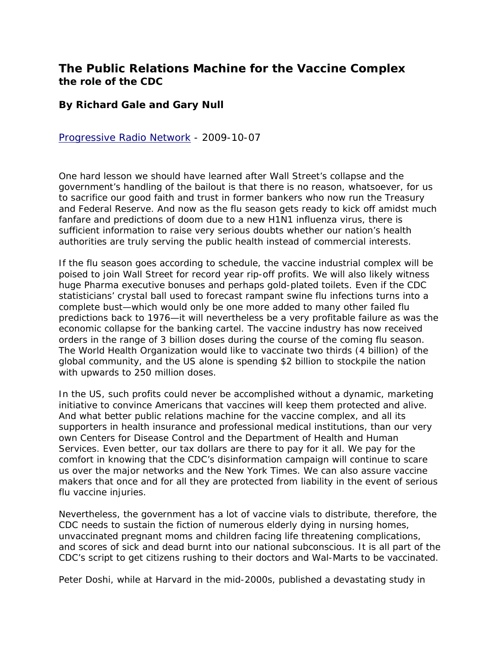## **The Public Relations Machine for the Vaccine Complex the role of the CDC**

## **By Richard Gale and Gary Null**

[Progressive Radio Network](http://www.progressiveradionetwork.com/) - 2009-10-07

One hard lesson we should have learned after Wall Street's collapse and the government's handling of the bailout is that there is no reason, whatsoever, for us to sacrifice our good faith and trust in former bankers who now run the Treasury and Federal Reserve. And now as the flu season gets ready to kick off amidst much fanfare and predictions of doom due to a new H1N1 influenza virus, there is sufficient information to raise very serious doubts whether our nation's health authorities are truly serving the public health instead of commercial interests.

If the flu season goes according to schedule, the vaccine industrial complex will be poised to join Wall Street for record year rip-off profits. We will also likely witness huge Pharma executive bonuses and perhaps gold-plated toilets. Even if the CDC statisticians' crystal ball used to forecast rampant swine flu infections turns into a complete bust—which would only be one more added to many other failed flu predictions back to 1976—it will nevertheless be a very profitable failure as was the economic collapse for the banking cartel. The vaccine industry has now received orders in the range of 3 billion doses during the course of the coming flu season. The World Health Organization would like to vaccinate two thirds (4 billion) of the global community, and the US alone is spending \$2 billion to stockpile the nation with upwards to 250 million doses.

In the US, such profits could never be accomplished without a dynamic, marketing initiative to convince Americans that vaccines will keep them protected and alive. And what better public relations machine for the vaccine complex, and all its supporters in health insurance and professional medical institutions, than our very own Centers for Disease Control and the Department of Health and Human Services. Even better, our tax dollars are there to pay for it all. We pay for the comfort in knowing that the CDC's disinformation campaign will continue to scare us over the major networks and the New York Times. We can also assure vaccine makers that once and for all they are protected from liability in the event of serious flu vaccine injuries.

Nevertheless, the government has a lot of vaccine vials to distribute, therefore, the CDC needs to sustain the fiction of numerous elderly dying in nursing homes, unvaccinated pregnant moms and children facing life threatening complications, and scores of sick and dead burnt into our national subconscious. It is all part of the CDC's script to get citizens rushing to their doctors and Wal-Marts to be vaccinated.

Peter Doshi, while at Harvard in the mid-2000s, published a devastating study in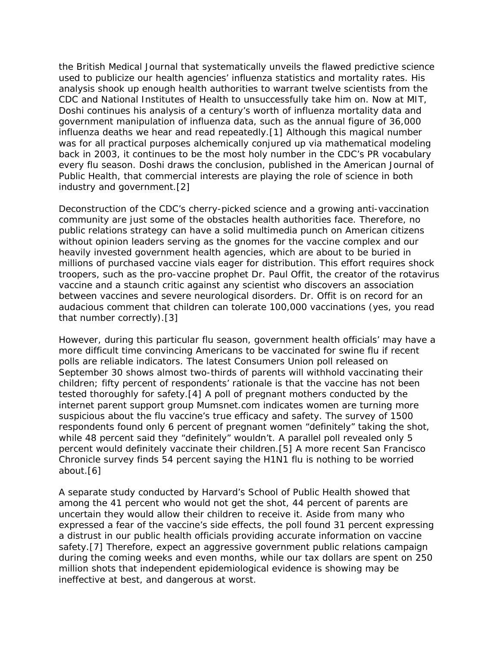the British Medical Journal that systematically unveils the flawed predictive science used to publicize our health agencies' influenza statistics and mortality rates. His analysis shook up enough health authorities to warrant twelve scientists from the CDC and National Institutes of Health to unsuccessfully take him on. Now at MIT, Doshi continues his analysis of a century's worth of influenza mortality data and government manipulation of influenza data, such as the annual figure of 36,000 influenza deaths we hear and read repeatedly.[1] Although this magical number was for all practical purposes alchemically conjured up via mathematical modeling back in 2003, it continues to be the most holy number in the CDC's PR vocabulary every flu season. Doshi draws the conclusion, published in the American Journal of Public Health, that commercial interests are playing the role of science in both industry and government.[2]

Deconstruction of the CDC's cherry-picked science and a growing anti-vaccination community are just some of the obstacles health authorities face. Therefore, no public relations strategy can have a solid multimedia punch on American citizens without opinion leaders serving as the gnomes for the vaccine complex and our heavily invested government health agencies, which are about to be buried in millions of purchased vaccine vials eager for distribution. This effort requires shock troopers, such as the pro-vaccine prophet Dr. Paul Offit, the creator of the rotavirus vaccine and a staunch critic against any scientist who discovers an association between vaccines and severe neurological disorders. Dr. Offit is on record for an audacious comment that children can tolerate 100,000 vaccinations (yes, you read that number correctly).[3]

However, during this particular flu season, government health officials' may have a more difficult time convincing Americans to be vaccinated for swine flu if recent polls are reliable indicators. The latest Consumers Union poll released on September 30 shows almost two-thirds of parents will withhold vaccinating their children; fifty percent of respondents' rationale is that the vaccine has not been tested thoroughly for safety.[4] A poll of pregnant mothers conducted by the internet parent support group Mumsnet.com indicates women are turning more suspicious about the flu vaccine's true efficacy and safety. The survey of 1500 respondents found only 6 percent of pregnant women "definitely" taking the shot, while 48 percent said they "definitely" wouldn't. A parallel poll revealed only 5 percent would definitely vaccinate their children.[5] A more recent San Francisco Chronicle survey finds 54 percent saying the H1N1 flu is nothing to be worried about.[6]

A separate study conducted by Harvard's School of Public Health showed that among the 41 percent who would not get the shot, 44 percent of parents are uncertain they would allow their children to receive it. Aside from many who expressed a fear of the vaccine's side effects, the poll found 31 percent expressing a distrust in our public health officials providing accurate information on vaccine safety.[7] Therefore, expect an aggressive government public relations campaign during the coming weeks and even months, while our tax dollars are spent on 250 million shots that independent epidemiological evidence is showing may be ineffective at best, and dangerous at worst.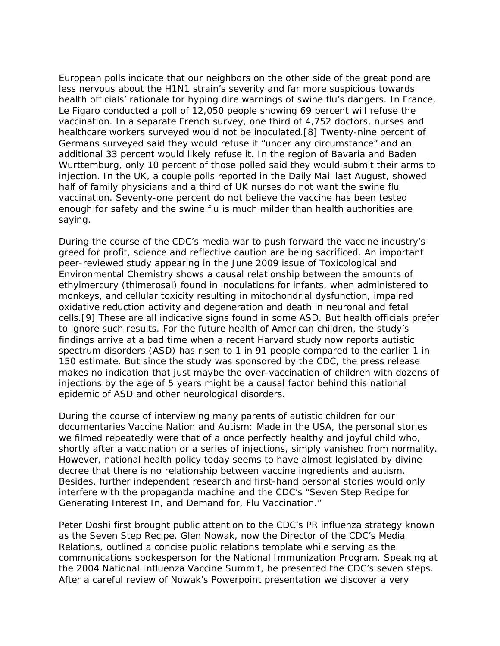European polls indicate that our neighbors on the other side of the great pond are less nervous about the H1N1 strain's severity and far more suspicious towards health officials' rationale for hyping dire warnings of swine flu's dangers. In France, Le Figaro conducted a poll of 12,050 people showing 69 percent will refuse the vaccination. In a separate French survey, one third of 4,752 doctors, nurses and healthcare workers surveyed would not be inoculated.[8] Twenty-nine percent of Germans surveyed said they would refuse it "under any circumstance" and an additional 33 percent would likely refuse it. In the region of Bavaria and Baden Wurttemburg, only 10 percent of those polled said they would submit their arms to injection. In the UK, a couple polls reported in the Daily Mail last August, showed half of family physicians and a third of UK nurses do not want the swine flu vaccination. Seventy-one percent do not believe the vaccine has been tested enough for safety and the swine flu is much milder than health authorities are saying.

During the course of the CDC's media war to push forward the vaccine industry's greed for profit, science and reflective caution are being sacrificed. An important peer-reviewed study appearing in the June 2009 issue of Toxicological and Environmental Chemistry shows a causal relationship between the amounts of ethylmercury (thimerosal) found in inoculations for infants, when administered to monkeys, and cellular toxicity resulting in mitochondrial dysfunction, impaired oxidative reduction activity and degeneration and death in neuronal and fetal cells.[9] These are all indicative signs found in some ASD. But health officials prefer to ignore such results. For the future health of American children, the study's findings arrive at a bad time when a recent Harvard study now reports autistic spectrum disorders (ASD) has risen to 1 in 91 people compared to the earlier 1 in 150 estimate. But since the study was sponsored by the CDC, the press release makes no indication that just maybe the over-vaccination of children with dozens of injections by the age of 5 years might be a causal factor behind this national epidemic of ASD and other neurological disorders.

During the course of interviewing many parents of autistic children for our documentaries Vaccine Nation and Autism: Made in the USA, the personal stories we filmed repeatedly were that of a once perfectly healthy and joyful child who, shortly after a vaccination or a series of injections, simply vanished from normality. However, national health policy today seems to have almost legislated by divine decree that there is no relationship between vaccine ingredients and autism. Besides, further independent research and first-hand personal stories would only interfere with the propaganda machine and the CDC's "Seven Step Recipe for Generating Interest In, and Demand for, Flu Vaccination."

Peter Doshi first brought public attention to the CDC's PR influenza strategy known as the Seven Step Recipe. Glen Nowak, now the Director of the CDC's Media Relations, outlined a concise public relations template while serving as the communications spokesperson for the National Immunization Program. Speaking at the 2004 National Influenza Vaccine Summit, he presented the CDC's seven steps. After a careful review of Nowak's Powerpoint presentation we discover a very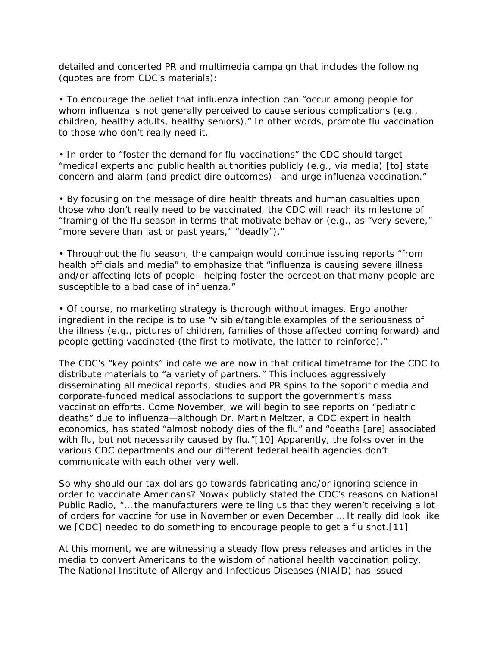detailed and concerted PR and multimedia campaign that includes the following (quotes are from CDC's materials):

• To encourage the belief that influenza infection can "occur among people for whom influenza is not generally perceived to cause serious complications (e.g., children, healthy adults, healthy seniors)." In other words, promote flu vaccination to those who don't really need it.

• In order to "foster the demand for flu vaccinations" the CDC should target "medical experts and public health authorities publicly (e.g., via media) [to] state concern and alarm (and predict dire outcomes)—and urge influenza vaccination."

• By focusing on the message of dire health threats and human casualties upon those who don't really need to be vaccinated, the CDC will reach its milestone of "framing of the flu season in terms that motivate behavior (e.g., as "very severe," "more severe than last or past years," "deadly")."

• Throughout the flu season, the campaign would continue issuing reports "from health officials and media" to emphasize that "influenza is causing severe illness and/or affecting lots of people—helping foster the perception that many people are susceptible to a bad case of influenza."

• Of course, no marketing strategy is thorough without images. Ergo another ingredient in the recipe is to use "visible/tangible examples of the seriousness of the illness (e.g., pictures of children, families of those affected coming forward) and people getting vaccinated (the first to motivate, the latter to reinforce)."

The CDC's "key points" indicate we are now in that critical timeframe for the CDC to distribute materials to "a variety of partners." This includes aggressively disseminating all medical reports, studies and PR spins to the soporific media and corporate-funded medical associations to support the government's mass vaccination efforts. Come November, we will begin to see reports on "pediatric deaths" due to influenza—although Dr. Martin Meltzer, a CDC expert in health economics, has stated "almost nobody dies of the flu" and "deaths [are] associated with flu, but not necessarily caused by flu."[10] Apparently, the folks over in the various CDC departments and our different federal health agencies don't communicate with each other very well.

So why should our tax dollars go towards fabricating and/or ignoring science in order to vaccinate Americans? Nowak publicly stated the CDC's reasons on National Public Radio, "… the manufacturers were telling us that they weren't receiving a lot of orders for vaccine for use in November or even December … It really did look like we [CDC] needed to do something to encourage people to get a flu shot.[11]

At this moment, we are witnessing a steady flow press releases and articles in the media to convert Americans to the wisdom of national health vaccination policy. The National Institute of Allergy and Infectious Diseases (NIAID) has issued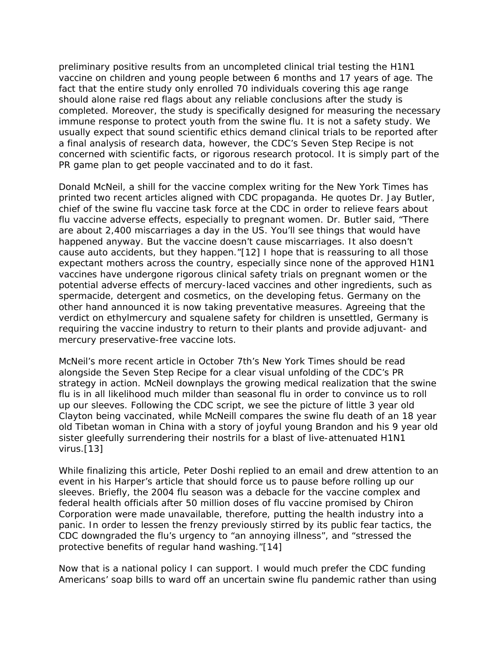preliminary positive results from an uncompleted clinical trial testing the H1N1 vaccine on children and young people between 6 months and 17 years of age. The fact that the entire study only enrolled 70 individuals covering this age range should alone raise red flags about any reliable conclusions after the study is completed. Moreover, the study is specifically designed for measuring the necessary immune response to protect youth from the swine flu. It is not a safety study. We usually expect that sound scientific ethics demand clinical trials to be reported after a final analysis of research data, however, the CDC's Seven Step Recipe is not concerned with scientific facts, or rigorous research protocol. It is simply part of the PR game plan to get people vaccinated and to do it fast.

Donald McNeil, a shill for the vaccine complex writing for the New York Times has printed two recent articles aligned with CDC propaganda. He quotes Dr. Jay Butler, chief of the swine flu vaccine task force at the CDC in order to relieve fears about flu vaccine adverse effects, especially to pregnant women. Dr. Butler said, "There are about 2,400 miscarriages a day in the US. You'll see things that would have happened anyway. But the vaccine doesn't cause miscarriages. It also doesn't cause auto accidents, but they happen."[12] I hope that is reassuring to all those expectant mothers across the country, especially since none of the approved H1N1 vaccines have undergone rigorous clinical safety trials on pregnant women or the potential adverse effects of mercury-laced vaccines and other ingredients, such as spermacide, detergent and cosmetics, on the developing fetus. Germany on the other hand announced it is now taking preventative measures. Agreeing that the verdict on ethylmercury and squalene safety for children is unsettled, Germany is requiring the vaccine industry to return to their plants and provide adjuvant- and mercury preservative-free vaccine lots.

McNeil's more recent article in October 7th's New York Times should be read alongside the Seven Step Recipe for a clear visual unfolding of the CDC's PR strategy in action. McNeil downplays the growing medical realization that the swine flu is in all likelihood much milder than seasonal flu in order to convince us to roll up our sleeves. Following the CDC script, we see the picture of little 3 year old Clayton being vaccinated, while McNeill compares the swine flu death of an 18 year old Tibetan woman in China with a story of joyful young Brandon and his 9 year old sister gleefully surrendering their nostrils for a blast of live-attenuated H1N1 virus.[13]

While finalizing this article, Peter Doshi replied to an email and drew attention to an event in his Harper's article that should force us to pause before rolling up our sleeves. Briefly, the 2004 flu season was a debacle for the vaccine complex and federal health officials after 50 million doses of flu vaccine promised by Chiron Corporation were made unavailable, therefore, putting the health industry into a panic. In order to lessen the frenzy previously stirred by its public fear tactics, the CDC downgraded the flu's urgency to "an annoying illness", and "stressed the protective benefits of regular hand washing."[14]

Now that is a national policy I can support. I would much prefer the CDC funding Americans' soap bills to ward off an uncertain swine flu pandemic rather than using